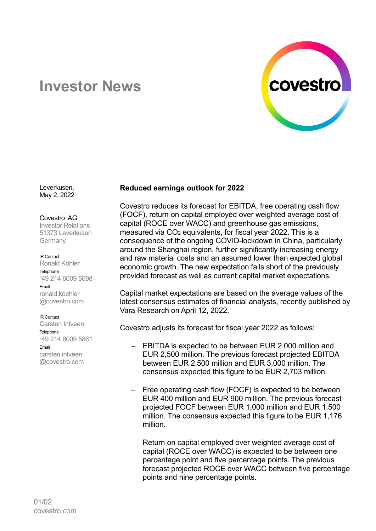

# **Investor News**

Leverkusen, May 2, 2022

# Covestro AG

Investor Relations 51373 Leverkusen **Germany** 

IR Contact

Ronald Köhler Telephone <sup>+</sup>49 214 6009 5098 Email ronald.koehler @covestro.com

#### IR Contact

Carsten Intveen **Telephone** <sup>+</sup>49 214 6009 5861 Email carsten.intveen @covestro.com

## **Reduced earnings outlook for 2022**

Covestro reduces its forecast for EBITDA, free operating cash flow (FOCF), return on capital employed over weighted average cost of capital (ROCE over WACC) and greenhouse gas emissions, measured via CO<sup>2</sup> equivalents, for fiscal year 2022. This is a consequence of the ongoing COVID-lockdown in China, particularly around the Shanghai region, further significantly increasing energy and raw material costs and an assumed lower than expected global economic growth. The new expectation falls short of the previously provided forecast as well as current capital market expectations.

Capital market expectations are based on the average values of the latest consensus estimates of financial analysts, recently published by Vara Research on April 12, 2022.

Covestro adjusts its forecast for fiscal year 2022 as follows:

- EBITDA is expected to be between EUR 2,000 million and EUR 2,500 million. The previous forecast projected EBITDA between EUR 2,500 million and EUR 3,000 million. The consensus expected this figure to be EUR 2,703 million.
- Free operating cash flow (FOCF) is expected to be between EUR 400 million and EUR 900 million. The previous forecast projected FOCF between EUR 1,000 million and EUR 1,500 million. The consensus expected this figure to be EUR 1,176 million.
- Return on capital employed over weighted average cost of capital (ROCE over WACC) is expected to be between one percentage point and five percentage points. The previous forecast projected ROCE over WACC between five percentage points and nine percentage points.